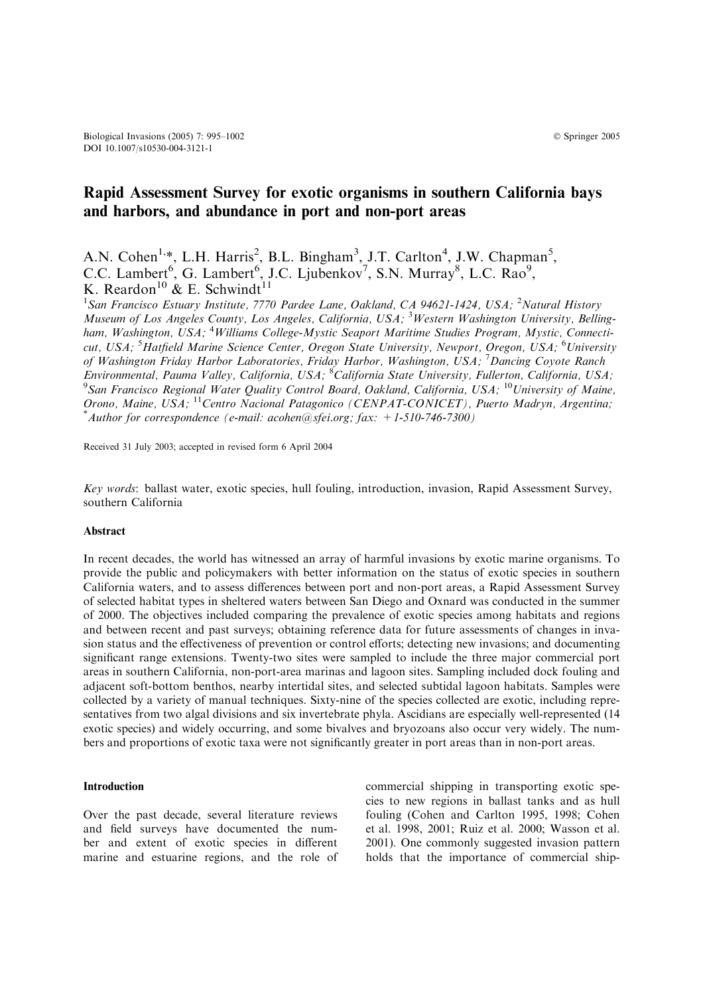# Rapid Assessment Survey for exotic organisms in southern California bays and harbors, and abundance in port and non-port areas

A.N. Cohen<sup>1,\*</sup>, L.H. Harris<sup>2</sup>, B.L. Bingham<sup>3</sup>, J.T. Carlton<sup>4</sup>, J.W. Chapman<sup>5</sup>, C.C. Lambert<sup>6</sup>, G. Lambert<sup>6</sup>, J.C. Ljubenkov<sup>7</sup>, S.N. Murray<sup>8</sup>, L.C. Rao<sup>9</sup>, K. Reardon<sup>10</sup> & E. Schwindt<sup>11</sup>

<sup>1</sup>San Francisco Estuary Institute, 7770 Pardee Lane, Oakland, CA 94621-1424, USA; <sup>2</sup>Natural History Museum of Los Angeles County, Los Angeles, California, USA; <sup>3</sup>Western Washington University, Bellingham, Washington, USA; <sup>4</sup>Williams College-Mystic Seaport Maritime Studies Program, Mystic, Connecticut, USA; <sup>5</sup>Hatfield Marine Science Center, Oregon State University, Newport, Oregon, USA; <sup>6</sup>University of Washington Friday Harbor Laboratories, Friday Harbor, Washington, USA; <sup>7</sup>Dancing Coyote Ranch Environmental, Pauma Valley, California, USA; <sup>8</sup>California State University, Fullerton, California, USA; <sup>9</sup> San Francisco Regional Water Quality Control Board, Oakland, California, USA; <sup>10</sup>University of Maine, Orono, Maine, USA; <sup>11</sup>Centro Nacional Patagonico (CENPAT-CONICET), Puerto Madryn, Argentina; Author for correspondence (e-mail: acohen@sfei.org; fax:  $+1$ -510-746-7300)

Received 31 July 2003; accepted in revised form 6 April 2004

Key words: ballast water, exotic species, hull fouling, introduction, invasion, Rapid Assessment Survey, southern California

#### Abstract

In recent decades, the world has witnessed an array of harmful invasions by exotic marine organisms. To provide the public and policymakers with better information on the status of exotic species in southern California waters, and to assess differences between port and non-port areas, a Rapid Assessment Survey of selected habitat types in sheltered waters between San Diego and Oxnard was conducted in the summer of 2000. The objectives included comparing the prevalence of exotic species among habitats and regions and between recent and past surveys; obtaining reference data for future assessments of changes in invasion status and the effectiveness of prevention or control efforts; detecting new invasions; and documenting significant range extensions. Twenty-two sites were sampled to include the three major commercial port areas in southern California, non-port-area marinas and lagoon sites. Sampling included dock fouling and adjacent soft-bottom benthos, nearby intertidal sites, and selected subtidal lagoon habitats. Samples were collected by a variety of manual techniques. Sixty-nine of the species collected are exotic, including representatives from two algal divisions and six invertebrate phyla. Ascidians are especially well-represented (14 exotic species) and widely occurring, and some bivalves and bryozoans also occur very widely. The numbers and proportions of exotic taxa were not significantly greater in port areas than in non-port areas.

# Introduction

Over the past decade, several literature reviews and field surveys have documented the number and extent of exotic species in different marine and estuarine regions, and the role of commercial shipping in transporting exotic species to new regions in ballast tanks and as hull fouling (Cohen and Carlton 1995, 1998; Cohen et al. 1998, 2001; Ruiz et al. 2000; Wasson et al. 2001). One commonly suggested invasion pattern holds that the importance of commercial ship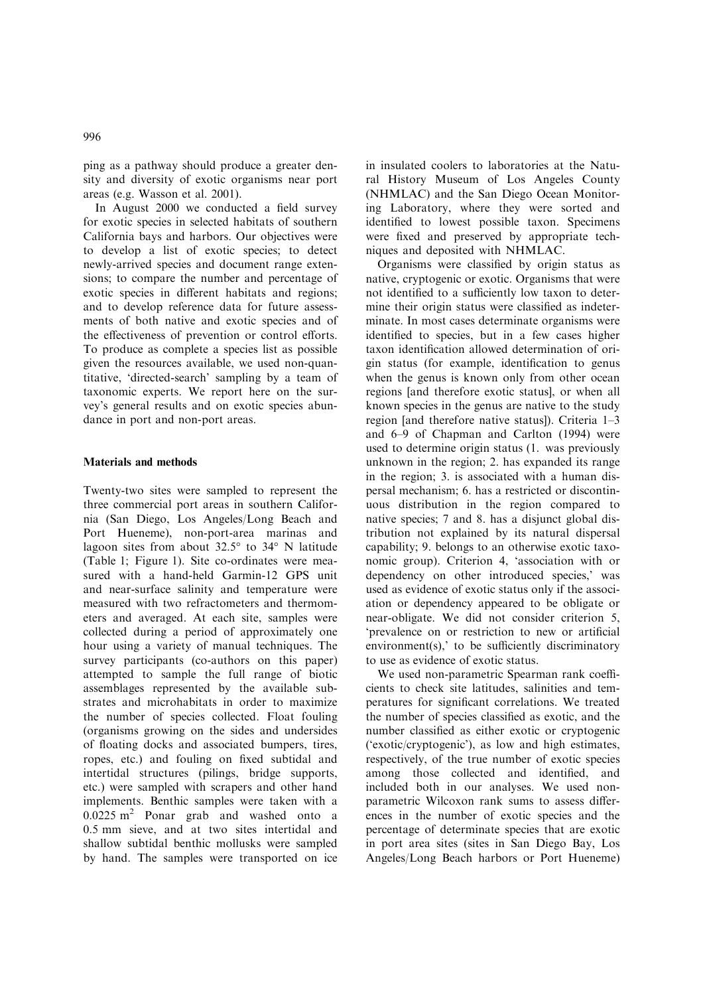ping as a pathway should produce a greater density and diversity of exotic organisms near port areas (e.g. Wasson et al. 2001).

In August 2000 we conducted a field survey for exotic species in selected habitats of southern California bays and harbors. Our objectives were to develop a list of exotic species; to detect newly-arrived species and document range extensions; to compare the number and percentage of exotic species in different habitats and regions; and to develop reference data for future assessments of both native and exotic species and of the effectiveness of prevention or control efforts. To produce as complete a species list as possible given the resources available, we used non-quantitative, 'directed-search' sampling by a team of taxonomic experts. We report here on the survey's general results and on exotic species abundance in port and non-port areas.

# Materials and methods

Twenty-two sites were sampled to represent the three commercial port areas in southern California (San Diego, Los Angeles/Long Beach and Port Hueneme), non-port-area marinas and lagoon sites from about  $32.5^{\circ}$  to  $34^{\circ}$  N latitude (Table 1; Figure 1). Site co-ordinates were measured with a hand-held Garmin-12 GPS unit and near-surface salinity and temperature were measured with two refractometers and thermometers and averaged. At each site, samples were collected during a period of approximately one hour using a variety of manual techniques. The survey participants (co-authors on this paper) attempted to sample the full range of biotic assemblages represented by the available substrates and microhabitats in order to maximize the number of species collected. Float fouling (organisms growing on the sides and undersides of floating docks and associated bumpers, tires, ropes, etc.) and fouling on fixed subtidal and intertidal structures (pilings, bridge supports, etc.) were sampled with scrapers and other hand implements. Benthic samples were taken with a 0.0225 m<sup>2</sup> Ponar grab and washed onto a 0.5 mm sieve, and at two sites intertidal and shallow subtidal benthic mollusks were sampled by hand. The samples were transported on ice in insulated coolers to laboratories at the Natural History Museum of Los Angeles County (NHMLAC) and the San Diego Ocean Monitoring Laboratory, where they were sorted and identified to lowest possible taxon. Specimens were fixed and preserved by appropriate techniques and deposited with NHMLAC.

Organisms were classified by origin status as native, cryptogenic or exotic. Organisms that were not identified to a sufficiently low taxon to determine their origin status were classified as indeterminate. In most cases determinate organisms were identified to species, but in a few cases higher taxon identification allowed determination of origin status (for example, identification to genus when the genus is known only from other ocean regions [and therefore exotic status], or when all known species in the genus are native to the study region [and therefore native status]). Criteria 1–3 and 6–9 of Chapman and Carlton (1994) were used to determine origin status (1. was previously unknown in the region; 2. has expanded its range in the region; 3. is associated with a human dispersal mechanism; 6. has a restricted or discontinuous distribution in the region compared to native species; 7 and 8. has a disjunct global distribution not explained by its natural dispersal capability; 9. belongs to an otherwise exotic taxonomic group). Criterion 4, 'association with or dependency on other introduced species,' was used as evidence of exotic status only if the association or dependency appeared to be obligate or near-obligate. We did not consider criterion 5, 'prevalence on or restriction to new or artificial environment(s),' to be sufficiently discriminatory to use as evidence of exotic status.

We used non-parametric Spearman rank coefficients to check site latitudes, salinities and temperatures for significant correlations. We treated the number of species classified as exotic, and the number classified as either exotic or cryptogenic ('exotic/cryptogenic'), as low and high estimates, respectively, of the true number of exotic species among those collected and identified, and included both in our analyses. We used nonparametric Wilcoxon rank sums to assess differences in the number of exotic species and the percentage of determinate species that are exotic in port area sites (sites in San Diego Bay, Los Angeles/Long Beach harbors or Port Hueneme)

# 996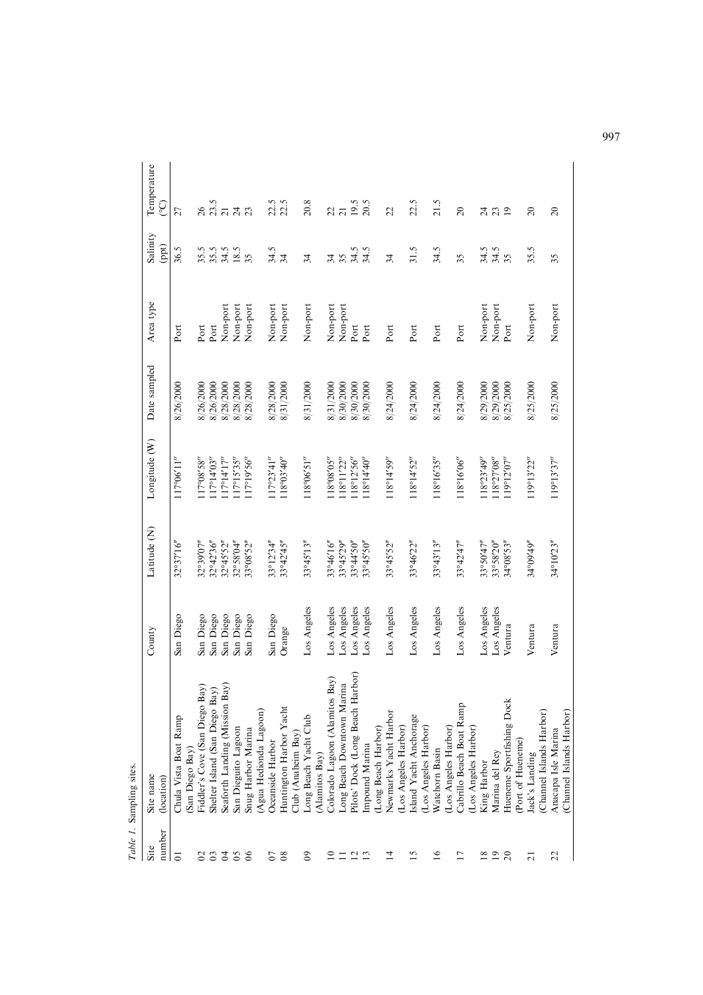| number<br>Site             | Site name<br>(location)                                          | County                 | Latitude (N)                               | Longitude (W)                              | Date sampled           | Area type    | Salinity<br>(ppt) | Temperature<br>င့ |
|----------------------------|------------------------------------------------------------------|------------------------|--------------------------------------------|--------------------------------------------|------------------------|--------------|-------------------|-------------------|
| $\overline{\circ}$         | Chula Vista Boat Ramp                                            | San Diego              | $32^{\circ}37'16''$                        | 117°06'11''                                | 8/26/2000              | Port         | 36.5              | 27                |
|                            | San Diego Bay)                                                   |                        |                                            |                                            |                        |              |                   |                   |
| $\Omega$<br>$\mathfrak{S}$ | Fiddler's Cove (San Diego Bay)<br>Shelter Island (San Diego Bay) | San Diego<br>San Diego | $32^{\circ}42'36''$<br>$32^{\circ}39'07''$ | $17^{\circ}08'58''$<br>$17^{\circ}14'03''$ | 8/26/2000<br>8/26/2000 | Port<br>Port | 35.5<br>35.5      | ង<br>កំពុង<br>ស   |
| $\mathfrak{q}$             | Seaforth Landing (Mission Bay)                                   | San Diego              | $32^{\circ}45'52''$                        | $17^{\circ}14'17''$                        | 8/28/2000              | Non-port     | 34.5              |                   |
| $\mathfrak{S}$             | San Dieguito Lagoon                                              | San Diego              | $32^{\circ}58'04''$                        | $17^{\circ}15'35''$                        | 8/28/2000              | Non-port     | 18.5              |                   |
| $\delta$                   | Snug Harbor Marina                                               | San Diego              | $33^{\circ}08'52'$                         | $17^{\circ}19'56''$                        | 8/28/2000              | Non-port     | 35                |                   |
|                            | (Agua Hedionda Lagoon)                                           |                        |                                            |                                            |                        |              |                   |                   |
| $\overline{0}$             | Oceanside Harbor                                                 | San Diego              | $33^{\circ}12'34'$                         | $17^{\circ}23'41''$                        | 8/28/2000              | Non-port     | 34.5              | 22.5              |
| $\infty$                   | Huntington Harbor Yacht                                          | Orange                 | $33^{\circ}42'45''$                        | $118^{\circ}03'40''$                       | 8/31/2000              | Non-port     | $\overline{34}$   | 22.5              |
|                            | Club (Anaheim Bay)                                               |                        |                                            |                                            |                        |              |                   |                   |
| $\infty$                   | Long Beach Yacht Club                                            | Los Angeles            | $33^{\circ}45'13'$                         | $118^{\circ}06'51''$                       | 8/31/2000              | Non-port     | 34                | 20.8              |
|                            | (Alamitos Bay)                                                   |                        |                                            |                                            |                        |              |                   |                   |
| $\supseteq$                | Colorado Lagoon (Alamitos Bay)                                   | Los Angeles            | $33^{\circ}46'16''$                        | $18^{\circ}08'05''$                        | 8/31/2000              | Non-port     | 34                |                   |
| $\equiv$                   | Long Beach Downtown Marina                                       | Los Angeles            | $33^{\circ}45'29''$                        | $18^{\circ}11'22''$                        | 8/30/2000              | Non-port     | 35<br>34.5        | $\frac{22}{21}$   |
| $\overline{c}$             | Pilots' Dock (Long Beach Harbor)                                 | Los Angeles            | $33^{\circ}44'50''$                        | $18^{\circ}12'56''$                        | 8/30/2000              | Port         |                   | $19.5$<br>20.5    |
| $\mathbf{L}$               | Impound Marina                                                   | Los Angeles            | $33^{\circ}45'50''$                        | $18^{\circ}14'40''$                        | 8/30/2000              | Port         | 34.5              |                   |
|                            | (Long Beach Harbor)                                              |                        |                                            |                                            |                        |              |                   |                   |
| $\overline{4}$             | Newmarks Yacht Harbor                                            | Los Angeles            | $33^{\circ}45'52'$                         | $118^{\circ}14'59'$                        | 8/24/2000              | Port         | $\mathfrak{z}$    | 22                |
|                            | (Los Angeles Harbor)                                             |                        |                                            |                                            |                        |              |                   |                   |
| 15                         | Island Yacht Anchorage                                           | Los Angeles            | $33^{\circ}46'22'$                         | $118^{\circ}14'52''$                       | 8/24/2000              | Port         | 31.5              | 22.5              |
|                            | (Los Angeles Harbor)                                             |                        |                                            |                                            |                        |              |                   |                   |
| $\overline{16}$            | Watchorn Basin                                                   | Los Angeles            | 33°43'13'                                  | $118^{\circ}16'35'$                        | 8/24/2000              | Port         | 34.5              | 21.5              |
|                            | (Los Angeles Harbor)                                             |                        |                                            |                                            |                        |              |                   |                   |
| $\overline{17}$            | Cabrillo Beach Boat Ramp                                         | Los Angeles            | $33^{\circ}42'47''$                        | $118^{\circ}16'06''$                       | 8/24/2000              | Port         | 35                | $\overline{c}$    |
|                            | Los Angeles Harbor)                                              |                        |                                            |                                            |                        |              |                   |                   |
| 18                         | King Harbor                                                      | Los Angeles            | $33^{\circ}50'47''$                        | 18°23'49'                                  | 8/29/2000              | Non-port     | 34.5              |                   |
| 19                         | Marina del Rey                                                   | Los Angeles            | 33°58'20"                                  | $18^{\circ}27'08''$                        | 8/29/2000              | Non-port     | 34.5<br>35        | 24.29             |
| $\overline{c}$             | Hueneme Sportfishing Dock                                        | Ventura                | $34^{\circ}08'53''$                        | $19^{\circ}12'07''$                        | 8/25/2000              | Port         |                   |                   |
|                            | Port of Hueneme)                                                 |                        |                                            |                                            |                        |              |                   |                   |
| $\overline{z}$             | Jack's Landing                                                   | Ventura                | 34°09'49'                                  | $119^{\circ}13'22''$                       | 8/25/2000              | Non-port     | 35.5              | $\overline{c}$    |
|                            | Channel Islands Harbor)                                          |                        |                                            |                                            |                        |              |                   |                   |
| 22                         | Anacapa Isle Marina                                              | Ventura                | 34°10'23'                                  | $119^{\circ}13'37''$                       | 8/25/2000              | Non-port     | 35                | $\overline{c}$    |
|                            | Channel Islands Harbor)                                          |                        |                                            |                                            |                        |              |                   |                   |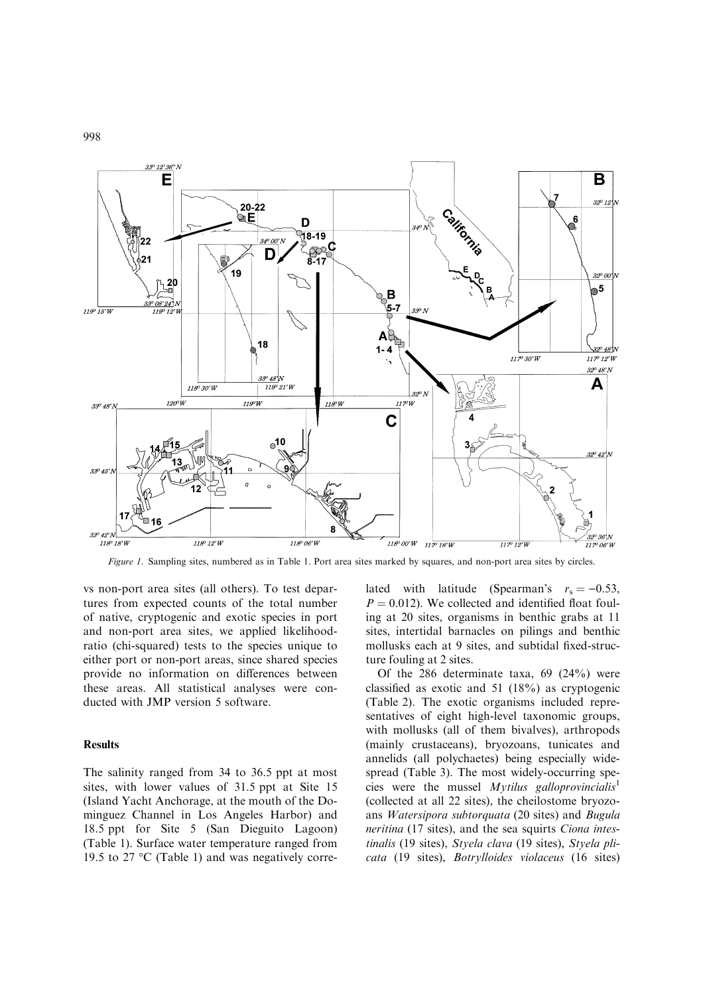

Figure 1. Sampling sites, numbered as in Table 1. Port area sites marked by squares, and non-port area sites by circles.

vs non-port area sites (all others). To test departures from expected counts of the total number of native, cryptogenic and exotic species in port and non-port area sites, we applied likelihoodratio (chi-squared) tests to the species unique to either port or non-port areas, since shared species provide no information on differences between these areas. All statistical analyses were conducted with JMP version 5 software.

## Results

The salinity ranged from 34 to 36.5 ppt at most sites, with lower values of 31.5 ppt at Site 15 (Island Yacht Anchorage, at the mouth of the Dominguez Channel in Los Angeles Harbor) and 18.5 ppt for Site 5 (San Dieguito Lagoon) (Table 1). Surface water temperature ranged from 19.5 to 27  $\rm{^{\circ}C}$  (Table 1) and was negatively correlated with latitude (Spearman's  $r_s = -0.53$ ,  $P = 0.012$ ). We collected and identified float fouling at 20 sites, organisms in benthic grabs at 11 sites, intertidal barnacles on pilings and benthic mollusks each at 9 sites, and subtidal fixed-structure fouling at 2 sites.

Of the 286 determinate taxa, 69 (24%) were classified as exotic and 51 (18%) as cryptogenic (Table 2). The exotic organisms included representatives of eight high-level taxonomic groups, with mollusks (all of them bivalves), arthropods (mainly crustaceans), bryozoans, tunicates and annelids (all polychaetes) being especially widespread (Table 3). The most widely-occurring species were the mussel Mytilus galloprovincialis<sup>1</sup> (collected at all 22 sites), the cheilostome bryozoans Watersipora subtorquata (20 sites) and Bugula neritina (17 sites), and the sea squirts Ciona intestinalis (19 sites), Styela clava (19 sites), Styela plicata (19 sites), Botrylloides violaceus (16 sites)

998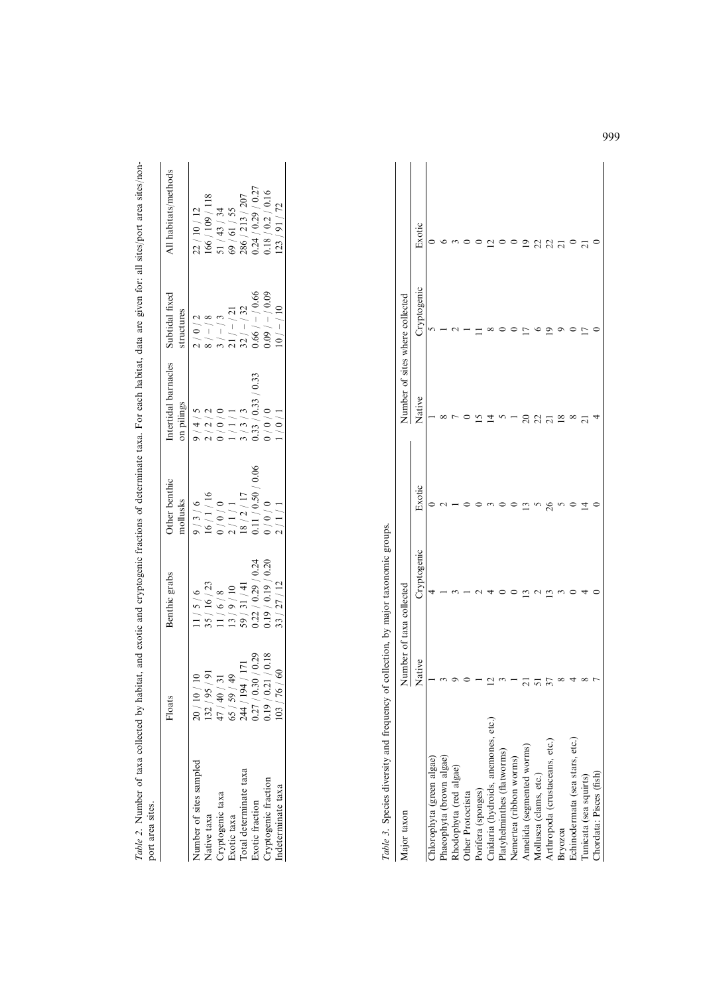| ı<br>١                                                                         |               |
|--------------------------------------------------------------------------------|---------------|
| ֧֧֧֧֧֧֧֧ׅ֧֧֛֧ׅ֧֧֚֚֚֚֚֚֚֚֚֚֚֚֚֚֚֚֚֚֚֚֚֚֚֚֚֚֝֝֓֕֓֡֝֬֝֓֝֓֝֓֜֓֜֓֝֬֜֝֬֜֓֬֝֬<br>ׇ֚֬֡ |               |
|                                                                                |               |
|                                                                                |               |
|                                                                                |               |
| ׇ֚֚֬֡                                                                          |               |
|                                                                                |               |
|                                                                                |               |
|                                                                                |               |
|                                                                                |               |
|                                                                                |               |
|                                                                                |               |
|                                                                                |               |
|                                                                                |               |
|                                                                                |               |
| :<br>j<br>l                                                                    |               |
| į                                                                              |               |
| )<br>)<br>)                                                                    |               |
|                                                                                |               |
| ŗ                                                                              |               |
| $\sim$<br>$\frac{1}{2}$                                                        |               |
|                                                                                |               |
| <b>.</b><br>.<br>ł<br>١                                                        |               |
|                                                                                |               |
|                                                                                |               |
|                                                                                |               |
|                                                                                |               |
| .<br>.<br>.                                                                    |               |
|                                                                                |               |
|                                                                                |               |
| ì<br>l                                                                         |               |
|                                                                                |               |
|                                                                                |               |
| i                                                                              |               |
| ı                                                                              |               |
|                                                                                |               |
| j<br>ļ                                                                         |               |
| itat.                                                                          |               |
| j                                                                              |               |
|                                                                                |               |
|                                                                                |               |
|                                                                                |               |
| J                                                                              |               |
| i                                                                              |               |
|                                                                                |               |
|                                                                                |               |
|                                                                                | ;             |
| í                                                                              |               |
| l                                                                              | <b>.</b><br>. |
| ì<br>I<br>I                                                                    |               |
|                                                                                |               |

|                         | Floats                                  | Benthic grabs      | Other benthic | Intertidal barnacles  | Subtidal fixed                                                                 | All habitats/methods                                                                                                                                                                    |
|-------------------------|-----------------------------------------|--------------------|---------------|-----------------------|--------------------------------------------------------------------------------|-----------------------------------------------------------------------------------------------------------------------------------------------------------------------------------------|
|                         |                                         |                    | mollusks      | on pilings            | structures                                                                     |                                                                                                                                                                                         |
| Number of sites sampled | 20 / 10 / 10                            | 1/5/6              | 9/3/6         | 9/4/5                 | 2/0/2                                                                          | 22 / 10 / 12                                                                                                                                                                            |
| Vative taxa             | 132 / 95 / 91                           | 35 / 16 / 23       | 16 / 1 / 16   | 2/2/2                 | $8 / - 8$                                                                      |                                                                                                                                                                                         |
| Typtogenic taxa         | $\frac{31}{2}$<br>47 / 40               | 11/6/8             | 0 / 0 / 0     | 0/0/0                 |                                                                                | $\frac{166}{51}/\frac{109}{118}$                                                                                                                                                        |
| Exotic taxa             | 65 / 59 / 49                            | 13 / 9 / 10        | 2/1/1         | 1/1/1                 |                                                                                |                                                                                                                                                                                         |
| Total determinate taxa  |                                         | 59 / 31 / 41       | 18 / 2 / 17   | 3/3/3                 | $\begin{array}{c c} 3 & / - / 3 \\ 21 & / - / 21 \\ 32 & / - / 32 \end{array}$ |                                                                                                                                                                                         |
| <b>Exotic</b> fraction  | $244 / 194 / 171$<br>0.27 / 0.30 / 0.29 | 0.22 / 0.29 / 0.24 | 0.11 / 0.50   | 0.33<br>0.33 / 0.33   |                                                                                |                                                                                                                                                                                         |
| Cryptogenic fraction    | 0.19 / 0.21 / 0.18                      | 0.19 / 0.19 / 0.20 | 0/0/0         | 0/0/0                 | $\begin{array}{l} 0.66 / - 0.66 \\ 0.09 / - 0.09 \\ 10 / - 10.09 \end{array}$  | $\begin{array}{c} 69 \: / \: 61 \: / \: 55 \\ 286 \: / \: 213 \: / \: 207 \\ 0.24 \: / \: 0.29 \: / \: 0.27 \\ 0.18 \: / \: 0.2 \: / \: 0.16 \\ 1.23 \: / \: 91 \: / \: 72 \end{array}$ |
| ndeterminate taxa       | 03 / 76 / 60                            | 33 / 27 / 12       | 2/1/1         | $\frac{1}{1}$ / 0 / 1 |                                                                                |                                                                                                                                                                                         |
|                         |                                         |                    |               |                       |                                                                                |                                                                                                                                                                                         |

|   | to and fraculation of collection. By major faxonomic emune |
|---|------------------------------------------------------------|
|   |                                                            |
|   |                                                            |
|   |                                                            |
|   | :                                                          |
|   |                                                            |
|   |                                                            |
|   | )<br>1<br>$\ddotsc$                                        |
|   | ۱,                                                         |
| l | .<br>F                                                     |

| Table 3. Species diversity and frequency of |                          | collection, by major taxonomic groups. |        |           |                                 |        |  |
|---------------------------------------------|--------------------------|----------------------------------------|--------|-----------|---------------------------------|--------|--|
| Major taxon                                 | Number of taxa collected |                                        |        |           | Number of sites where collected |        |  |
|                                             | Native                   | Cryptogenic                            | Exotic | Native    | Cryptogemc                      | Exotic |  |
| Chlorophyta (green algae)                   |                          |                                        |        |           |                                 |        |  |
| Phaeophyta (brown algae)                    |                          |                                        |        |           |                                 |        |  |
| Rhodophyta (red algae)                      |                          |                                        |        |           |                                 |        |  |
| Other Protoctista                           |                          |                                        |        |           |                                 |        |  |
| Porifera (sponges)                          |                          |                                        |        |           |                                 |        |  |
| Cnidaria (hydroids, anemones, etc.)         |                          |                                        |        |           |                                 |        |  |
| Platyhelminthes (flatworms)                 |                          |                                        |        |           |                                 |        |  |
| Nemertea (ribbon worms)                     |                          |                                        |        |           |                                 |        |  |
| Annelida (segmented worms)                  |                          |                                        |        | $\approx$ |                                 |        |  |
| Mollusca (clams, etc.)                      |                          |                                        |        | 23        |                                 |        |  |
| Arthropoda (crustaceans, etc.)              |                          |                                        |        |           |                                 | 77     |  |
| Вгуогоа                                     |                          |                                        |        |           |                                 |        |  |
| Echinodermata (sea stars, etc.)             |                          |                                        |        |           |                                 |        |  |
| Tunicata (sea squirts)                      |                          |                                        |        |           |                                 |        |  |
| Chordata: Pisces (fish)                     |                          |                                        |        |           |                                 |        |  |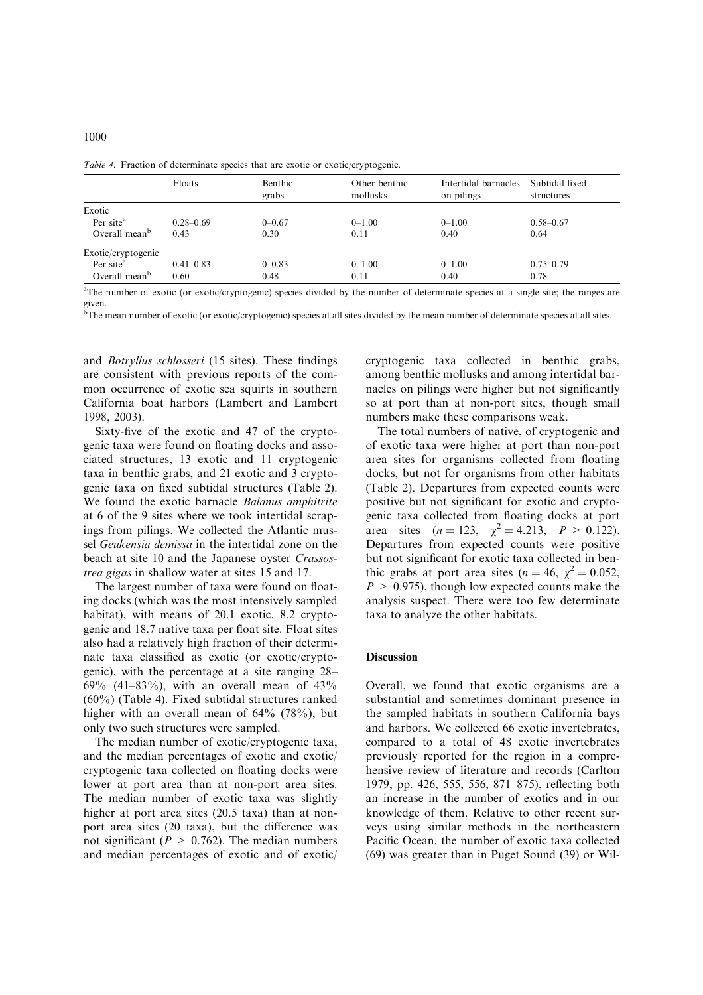|                           | Floats        | Benthic<br>grabs | Other benthic<br>mollusks | Intertidal barnacles<br>on pilings | Subtidal fixed<br>structures |
|---------------------------|---------------|------------------|---------------------------|------------------------------------|------------------------------|
|                           |               |                  |                           |                                    |                              |
| Exotic                    |               |                  |                           |                                    |                              |
| Per site <sup>a</sup>     | $0.28 - 0.69$ | $0 - 0.67$       | $0 - 1.00$                | $0 - 1.00$                         | $0.58 - 0.67$                |
| Overall mean <sup>b</sup> | 0.43          | 0.30             | 0.11                      | 0.40                               | 0.64                         |
| Exotic/cryptogenic        |               |                  |                           |                                    |                              |
| Per site <sup>a</sup>     | $0.41 - 0.83$ | $0 - 0.83$       | $0 - 1.00$                | $0 - 1.00$                         | $0.75 - 0.79$                |
| Overall mean <sup>b</sup> | 0.60          | 0.48             | 0.11                      | 0.40                               | 0.78                         |

Table 4. Fraction of determinate species that are exotic or exotic/cryptogenic.

<sup>a</sup>The number of exotic (or exotic/cryptogenic) species divided by the number of determinate species at a single site; the ranges are given.

 $b^b$ The mean number of exotic (or exotic/cryptogenic) species at all sites divided by the mean number of determinate species at all sites.

and Botryllus schlosseri (15 sites). These findings are consistent with previous reports of the common occurrence of exotic sea squirts in southern California boat harbors (Lambert and Lambert 1998, 2003).

Sixty-five of the exotic and 47 of the cryptogenic taxa were found on floating docks and associated structures, 13 exotic and 11 cryptogenic taxa in benthic grabs, and 21 exotic and 3 cryptogenic taxa on fixed subtidal structures (Table 2). We found the exotic barnacle Balanus amphitrite at 6 of the 9 sites where we took intertidal scrapings from pilings. We collected the Atlantic mussel Geukensia demissa in the intertidal zone on the beach at site 10 and the Japanese oyster Crassostrea gigas in shallow water at sites 15 and 17.

The largest number of taxa were found on floating docks (which was the most intensively sampled habitat), with means of 20.1 exotic, 8.2 cryptogenic and 18.7 native taxa per float site. Float sites also had a relatively high fraction of their determinate taxa classified as exotic (or exotic/cryptogenic), with the percentage at a site ranging 28– 69% (41–83%), with an overall mean of  $43\%$ (60%) (Table 4). Fixed subtidal structures ranked higher with an overall mean of 64% (78%), but only two such structures were sampled.

The median number of exotic/cryptogenic taxa, and the median percentages of exotic and exotic/ cryptogenic taxa collected on floating docks were lower at port area than at non-port area sites. The median number of exotic taxa was slightly higher at port area sites (20.5 taxa) than at nonport area sites (20 taxa), but the difference was not significant ( $P > 0.762$ ). The median numbers and median percentages of exotic and of exotic/

cryptogenic taxa collected in benthic grabs, among benthic mollusks and among intertidal barnacles on pilings were higher but not significantly so at port than at non-port sites, though small numbers make these comparisons weak.

The total numbers of native, of cryptogenic and of exotic taxa were higher at port than non-port area sites for organisms collected from floating docks, but not for organisms from other habitats (Table 2). Departures from expected counts were positive but not significant for exotic and cryptogenic taxa collected from floating docks at port area sites  $(n = 123, \gamma^2 = 4.213, P > 0.122)$ . Departures from expected counts were positive but not significant for exotic taxa collected in benthic grabs at port area sites ( $n = 46$ ,  $\chi^2 = 0.052$ ,  $P > 0.975$ , though low expected counts make the analysis suspect. There were too few determinate taxa to analyze the other habitats.

### Discussion

Overall, we found that exotic organisms are a substantial and sometimes dominant presence in the sampled habitats in southern California bays and harbors. We collected 66 exotic invertebrates, compared to a total of 48 exotic invertebrates previously reported for the region in a comprehensive review of literature and records (Carlton 1979, pp. 426, 555, 556, 871–875), reflecting both an increase in the number of exotics and in our knowledge of them. Relative to other recent surveys using similar methods in the northeastern Pacific Ocean, the number of exotic taxa collected (69) was greater than in Puget Sound (39) or Wil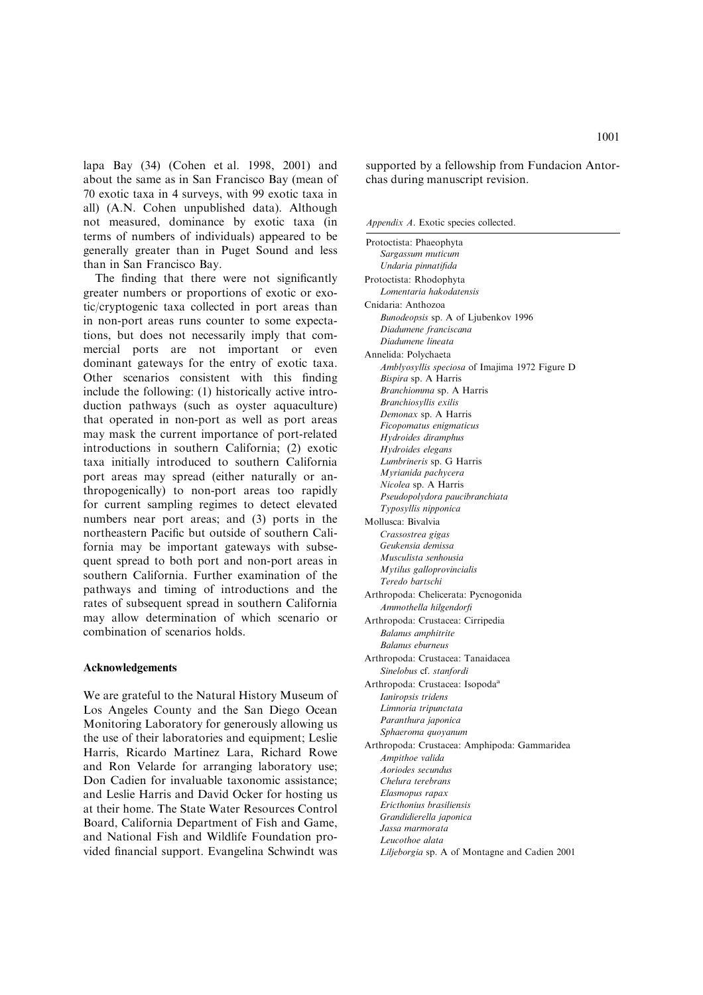lapa Bay (34) (Cohen et al. 1998, 2001) and about the same as in San Francisco Bay (mean of 70 exotic taxa in 4 surveys, with 99 exotic taxa in all) (A.N. Cohen unpublished data). Although not measured, dominance by exotic taxa (in terms of numbers of individuals) appeared to be generally greater than in Puget Sound and less than in San Francisco Bay.

The finding that there were not significantly greater numbers or proportions of exotic or exotic/cryptogenic taxa collected in port areas than in non-port areas runs counter to some expectations, but does not necessarily imply that commercial ports are not important or even dominant gateways for the entry of exotic taxa. Other scenarios consistent with this finding include the following: (1) historically active introduction pathways (such as oyster aquaculture) that operated in non-port as well as port areas may mask the current importance of port-related introductions in southern California; (2) exotic taxa initially introduced to southern California port areas may spread (either naturally or anthropogenically) to non-port areas too rapidly for current sampling regimes to detect elevated numbers near port areas; and (3) ports in the northeastern Pacific but outside of southern California may be important gateways with subsequent spread to both port and non-port areas in southern California. Further examination of the pathways and timing of introductions and the rates of subsequent spread in southern California may allow determination of which scenario or combination of scenarios holds.

### Acknowledgements

We are grateful to the Natural History Museum of Los Angeles County and the San Diego Ocean Monitoring Laboratory for generously allowing us the use of their laboratories and equipment; Leslie Harris, Ricardo Martinez Lara, Richard Rowe and Ron Velarde for arranging laboratory use; Don Cadien for invaluable taxonomic assistance; and Leslie Harris and David Ocker for hosting us at their home. The State Water Resources Control Board, California Department of Fish and Game, and National Fish and Wildlife Foundation provided financial support. Evangelina Schwindt was supported by a fellowship from Fundacion Antorchas during manuscript revision.

Appendix A. Exotic species collected.

| Protoctista: Phaeophyta                        |
|------------------------------------------------|
| Sargassum muticum                              |
| Undaria pinnatifida                            |
| Protoctista: Rhodophyta                        |
| Lomentaria hakodatensis                        |
| Cnidaria: Anthozoa                             |
| Bunodeopsis sp. A of Ljubenkov 1996            |
| Diadumene franciscana                          |
| Diadumene lineata                              |
| Annelida: Polychaeta                           |
| Amblyosyllis speciosa of Imajima 1972 Figure D |
| Bispira sp. A Harris                           |
| Branchiomma sp. A Harris                       |
| Branchiosyllis exilis                          |
| Demonax sp. A Harris                           |
| Ficopomatus enigmaticus                        |
| Hydroides diramphus                            |
| Hydroides elegans                              |
| Lumbrineris sp. G Harris                       |
| Myrianida pachycera                            |
| Nicolea sp. A Harris                           |
| Pseudopolydora paucibranchiata                 |
| Typosyllis nipponica                           |
| Mollusca: Bivalvia                             |
| Crassostrea gigas                              |
| Geukensia demissa                              |
| Musculista senhousia                           |
| Mytilus galloprovincialis                      |
| Teredo bartschi                                |
|                                                |
| Arthropoda: Chelicerata: Pycnogonida           |
| Ammothella hilgendorfi                         |
| Arthropoda: Crustacea: Cirripedia              |
| Balanus amphitrite                             |
| <b>Balanus</b> eburneus                        |
| Arthropoda: Crustacea: Tanaidacea              |
| Sinelobus cf. stanfordi                        |
| Arthropoda: Crustacea: Isopoda <sup>a</sup>    |
| Ianiropsis tridens                             |
| Limnoria tripunctata                           |
| Paranthura japonica                            |
| Sphaeroma quoyanum                             |
| Arthropoda: Crustacea: Amphipoda: Gammaridea   |
| Ampithoe valida                                |
| Aoriodes secundus                              |
| Chelura terebrans                              |
| Elasmopus rapax                                |
| Ericthonius brasiliensis                       |
| Grandidierella japonica                        |
| Jassa marmorata                                |
| Leucothoe alata                                |
| Liljeborgia sp. A of Montagne and Cadien 2001  |